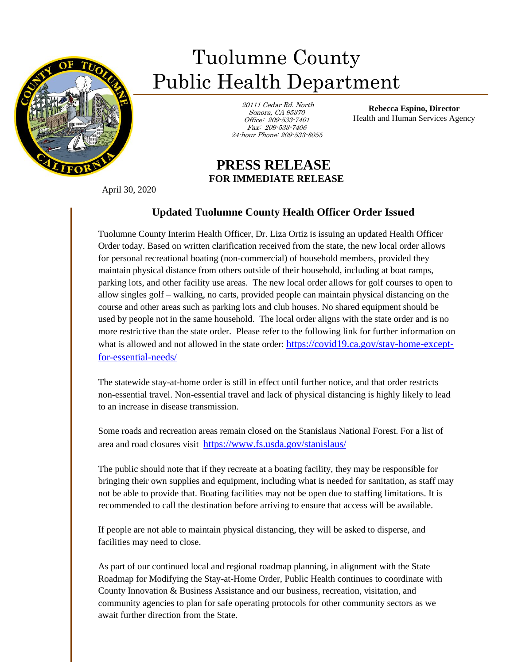

## Tuolumne County Public Health Department

 20111 Cedar Rd. North Sonora, CA 95370 Office: 209-533-7401 Fax: 209-533-7406 24-hour Phone: 209-533-8055

**Rebecca Espino, Director** Health and Human Services Agency

## **PRESS RELEASE FOR IMMEDIATE RELEASE**

April 30, 2020

ī

## **Updated Tuolumne County Health Officer Order Issued**

Tuolumne County Interim Health Officer, Dr. Liza Ortiz is issuing an updated Health Officer Order today. Based on written clarification received from the state, the new local order allows for personal recreational boating (non-commercial) of household members, provided they maintain physical distance from others outside of their household, including at boat ramps, parking lots, and other facility use areas. The new local order allows for golf courses to open to allow singles golf – walking, no carts, provided people can maintain physical distancing on the course and other areas such as parking lots and club houses. No shared equipment should be used by people not in the same household. The local order aligns with the state order and is no more restrictive than the state order. Please refer to the following link for further information on what is allowed and not allowed in the state order: [https://covid19.ca.gov/stay-home-except](https://gcc02.safelinks.protection.outlook.com/?url=https%3A%2F%2Fcovid19.ca.gov%2Fstay-home-except-for-essential-needs%2F&data=01%7C01%7Clortiz%40co.tuolumne.ca.us%7Ccc3e7c2fcf0745b0503508d7ed35699b%7C37e2bf7f4bc440859e0aaeab83f13a1e%7C0&sdata=1R7YK8i%2BMqbiRoUP4SARa%2FuQF4kVV0x86Dw%2FqY450Ho%3D&reserved=0)[for-essential-needs/](https://gcc02.safelinks.protection.outlook.com/?url=https%3A%2F%2Fcovid19.ca.gov%2Fstay-home-except-for-essential-needs%2F&data=01%7C01%7Clortiz%40co.tuolumne.ca.us%7Ccc3e7c2fcf0745b0503508d7ed35699b%7C37e2bf7f4bc440859e0aaeab83f13a1e%7C0&sdata=1R7YK8i%2BMqbiRoUP4SARa%2FuQF4kVV0x86Dw%2FqY450Ho%3D&reserved=0)

The statewide stay-at-home order is still in effect until further notice, and that order restricts non-essential travel. Non-essential travel and lack of physical distancing is highly likely to lead to an increase in disease transmission.

Some roads and recreation areas remain closed on the Stanislaus National Forest. For a list of area and road closures visit [https://www.fs.usda.gov/stanislaus/](https://gcc02.safelinks.protection.outlook.com/?url=https%3A%2F%2Fwww.fs.usda.gov%2Fstanislaus%2F&data=01%7C01%7CMJachetta%40co.tuolumne.ca.us%7Cca2826b1c4ff4f752c0d08d7ed2f7142%7C37e2bf7f4bc440859e0aaeab83f13a1e%7C0&sdata=pJWp5YnTnSODlTjZtK9xlMOo%2B0XhiebgLBjY3dFOMcY%3D&reserved=0)

The public should note that if they recreate at a boating facility, they may be responsible for bringing their own supplies and equipment, including what is needed for sanitation, as staff may not be able to provide that. Boating facilities may not be open due to staffing limitations. It is recommended to call the destination before arriving to ensure that access will be available.

If people are not able to maintain physical distancing, they will be asked to disperse, and facilities may need to close.

As part of our continued local and regional roadmap planning, in alignment with the State Roadmap for Modifying the Stay-at-Home Order, Public Health continues to coordinate with County Innovation & Business Assistance and our business, recreation, visitation, and community agencies to plan for safe operating protocols for other community sectors as we await further direction from the State.